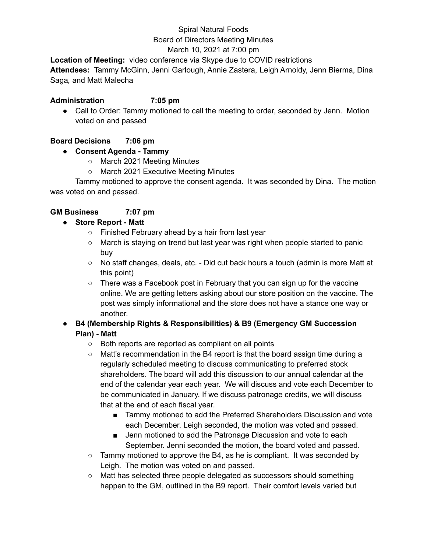#### Spiral Natural Foods Board of Directors Meeting Minutes March 10, 2021 at 7:00 pm

# **Location of Meeting:** video conference via Skype due to COVID restrictions

**Attendees:** Tammy McGinn, Jenni Garlough, Annie Zastera, Leigh Arnoldy, Jenn Bierma, Dina Saga*,* and Matt Malecha

#### **Administration 7:05 pm**

• Call to Order: Tammy motioned to call the meeting to order, seconded by Jenn. Motion voted on and passed

### **Board Decisions 7:06 pm**

### **● Consent Agenda - Tammy**

- March 2021 Meeting Minutes
- March 2021 Executive Meeting Minutes

Tammy motioned to approve the consent agenda. It was seconded by Dina. The motion was voted on and passed.

### **GM Business 7:07 pm**

#### **● Store Report - Matt**

- Finished February ahead by a hair from last year
- March is staying on trend but last year was right when people started to panic buy
- No staff changes, deals, etc. Did cut back hours a touch (admin is more Matt at this point)
- $\circ$  There was a Facebook post in February that you can sign up for the vaccine online. We are getting letters asking about our store position on the vaccine. The post was simply informational and the store does not have a stance one way or another.

# **● B4 (Membership Rights & Responsibilities) & B9 (Emergency GM Succession Plan) - Matt**

- Both reports are reported as compliant on all points
- $\circ$  Matt's recommendation in the B4 report is that the board assign time during a regularly scheduled meeting to discuss communicating to preferred stock shareholders. The board will add this discussion to our annual calendar at the end of the calendar year each year. We will discuss and vote each December to be communicated in January. If we discuss patronage credits, we will discuss that at the end of each fiscal year.
	- Tammy motioned to add the Preferred Shareholders Discussion and vote each December. Leigh seconded, the motion was voted and passed.
	- Jenn motioned to add the Patronage Discussion and vote to each September. Jenni seconded the motion, the board voted and passed.
- Tammy motioned to approve the B4, as he is compliant. It was seconded by Leigh. The motion was voted on and passed.
- Matt has selected three people delegated as successors should something happen to the GM, outlined in the B9 report. Their comfort levels varied but